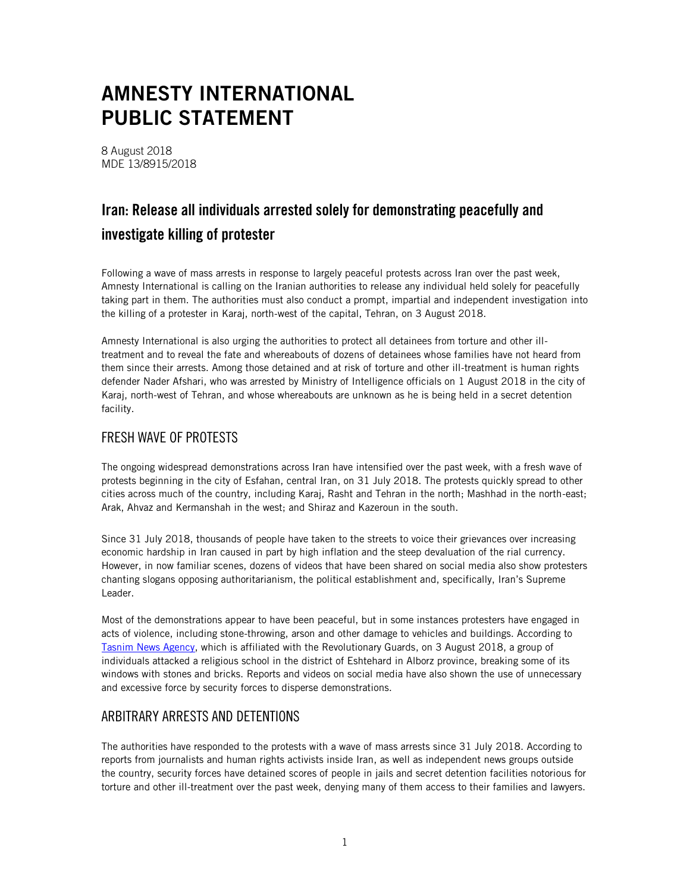# AMNESTY INTERNATIONAL PUBLIC STATEMENT

8 August 2018 MDE 13/8915/2018

## Iran: Release all individuals arrested solely for demonstrating peacefully and investigate killing of protester

Following a wave of mass arrests in response to largely peaceful protests across Iran over the past week, Amnesty International is calling on the Iranian authorities to release any individual held solely for peacefully taking part in them. The authorities must also conduct a prompt, impartial and independent investigation into the killing of a protester in Karaj, north-west of the capital, Tehran, on 3 August 2018.

Amnesty International is also urging the authorities to protect all detainees from torture and other illtreatment and to reveal the fate and whereabouts of dozens of detainees whose families have not heard from them since their arrests. Among those detained and at risk of torture and other ill-treatment is human rights defender Nader Afshari, who was arrested by Ministry of Intelligence officials on 1 August 2018 in the city of Karaj, north-west of Tehran, and whose whereabouts are unknown as he is being held in a secret detention facility.

### FRESH WAVE OF PROTESTS

The ongoing widespread demonstrations across Iran have intensified over the past week, with a fresh wave of protests beginning in the city of Esfahan, central Iran, on 31 July 2018. The protests quickly spread to other cities across much of the country, including Karaj, Rasht and Tehran in the north; Mashhad in the north-east; Arak, Ahvaz and Kermanshah in the west; and Shiraz and Kazeroun in the south.

Since 31 July 2018, thousands of people have taken to the streets to voice their grievances over increasing economic hardship in Iran caused in part by high inflation and the steep devaluation of the rial currency. However, in now familiar scenes, dozens of videos that have been shared on social media also show protesters chanting slogans opposing authoritarianism, the political establishment and, specifically, Iran's Supreme Leader.

Most of the demonstrations appear to have been peaceful, but in some instances protesters have engaged in acts of violence, including stone-throwing, arson and other damage to vehicles and buildings. According to [Tasnim News Agency,](https://www.tasnimnews.com/fa/news/1397/05/13/1793472/%D8%AD%D9%85%D9%84%D9%87-%D8%A7%D8%BA%D8%AA%D8%B4%D8%A7%D8%B4-%DA%AF%D8%B1%D8%A7%D9%86-%D8%A8%D9%87-%D8%AD%D9%88%D8%B2%D9%87-%D8%B9%D9%84%D9%85%DB%8C%D9%87-%D8%A7%D8%B4%D8%AA%D9%87%D8%A7%D8%B1%D8%AF-%D9%86%D8%A7%DA%A9%D8%A7%D9%85-%D9%85%D8%A7%D9%86%D8%AF) which is affiliated with the Revolutionary Guards, on 3 August 2018, a group of individuals attacked a religious school in the district of Eshtehard in Alborz province, breaking some of its windows with stones and bricks. Reports and videos on social media have also shown the use of unnecessary and excessive force by security forces to disperse demonstrations.

### ARBITRARY ARRESTS AND DETENTIONS

The authorities have responded to the protests with a wave of mass arrests since 31 July 2018. According to reports from journalists and human rights activists inside Iran, as well as independent news groups outside the country, security forces have detained scores of people in jails and secret detention facilities notorious for torture and other ill-treatment over the past week, denying many of them access to their families and lawyers.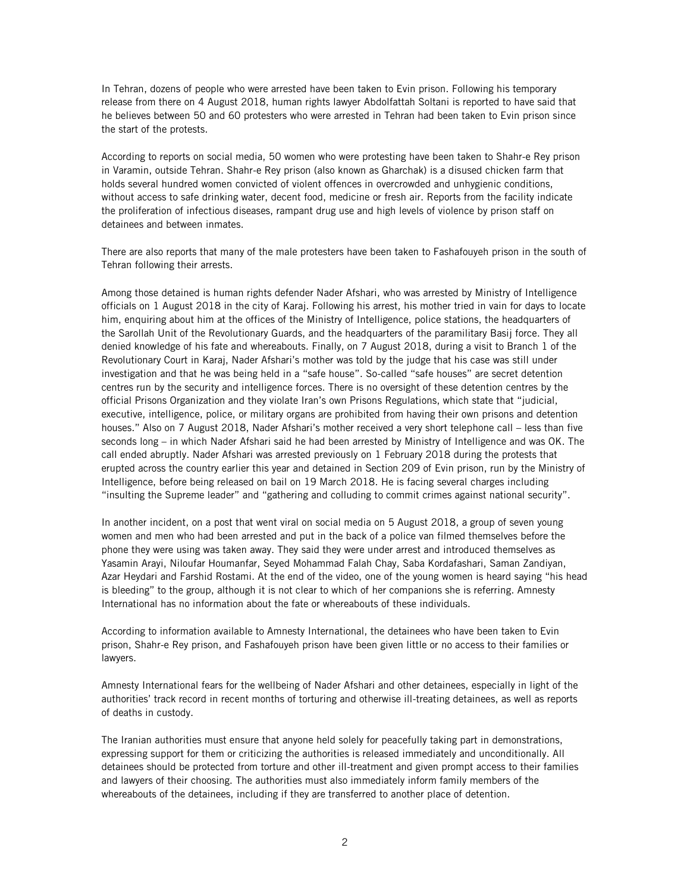In Tehran, dozens of people who were arrested have been taken to Evin prison. Following his temporary release from there on 4 August 2018, human rights lawyer Abdolfattah Soltani is reported to have said that he believes between 50 and 60 protesters who were arrested in Tehran had been taken to Evin prison since the start of the protests.

According to reports on social media, 50 women who were protesting have been taken to Shahr-e Rey prison in Varamin, outside Tehran. Shahr-e Rey prison (also known as Gharchak) is a disused chicken farm that holds several hundred women convicted of violent offences in overcrowded and unhygienic conditions, without access to safe drinking water, decent food, medicine or fresh air. Reports from the facility indicate the proliferation of infectious diseases, rampant drug use and high levels of violence by prison staff on detainees and between inmates.

There are also reports that many of the male protesters have been taken to Fashafouyeh prison in the south of Tehran following their arrests.

Among those detained is human rights defender Nader Afshari, who was arrested by Ministry of Intelligence officials on 1 August 2018 in the city of Karaj. Following his arrest, his mother tried in vain for days to locate him, enquiring about him at the offices of the Ministry of Intelligence, police stations, the headquarters of the Sarollah Unit of the Revolutionary Guards, and the headquarters of the paramilitary Basij force. They all denied knowledge of his fate and whereabouts. Finally, on 7 August 2018, during a visit to Branch 1 of the Revolutionary Court in Karaj, Nader Afshari's mother was told by the judge that his case was still under investigation and that he was being held in a "safe house". So-called "safe houses" are secret detention centres run by the security and intelligence forces. There is no oversight of these detention centres by the official Prisons Organization and they violate Iran's own Prisons Regulations, which state that "judicial, executive, intelligence, police, or military organs are prohibited from having their own prisons and detention houses." Also on 7 August 2018, Nader Afshari's mother received a very short telephone call – less than five seconds long – in which Nader Afshari said he had been arrested by Ministry of Intelligence and was OK. The call ended abruptly. Nader Afshari was arrested previously on 1 February 2018 during the protests that erupted across the country earlier this year and detained in Section 209 of Evin prison, run by the Ministry of Intelligence, before being released on bail on 19 March 2018. He is facing several charges including "insulting the Supreme leader" and "gathering and colluding to commit crimes against national security".

In another incident, on a post that went viral on social media on 5 August 2018, a group of seven young women and men who had been arrested and put in the back of a police van filmed themselves before the phone they were using was taken away. They said they were under arrest and introduced themselves as Yasamin Arayi, Niloufar Houmanfar, Seyed Mohammad Falah Chay, Saba Kordafashari, Saman Zandiyan, Azar Heydari and Farshid Rostami. At the end of the video, one of the young women is heard saying "his head is bleeding" to the group, although it is not clear to which of her companions she is referring. Amnesty International has no information about the fate or whereabouts of these individuals.

According to information available to Amnesty International, the detainees who have been taken to Evin prison, Shahr-e Rey prison, and Fashafouyeh prison have been given little or no access to their families or lawyers.

Amnesty International fears for the wellbeing of Nader Afshari and other detainees, especially in light of the authorities' track record in recent months of torturing and otherwise ill-treating detainees, as well as reports of deaths in custody.

The Iranian authorities must ensure that anyone held solely for peacefully taking part in demonstrations, expressing support for them or criticizing the authorities is released immediately and unconditionally. All detainees should be protected from torture and other ill-treatment and given prompt access to their families and lawyers of their choosing. The authorities must also immediately inform family members of the whereabouts of the detainees, including if they are transferred to another place of detention.